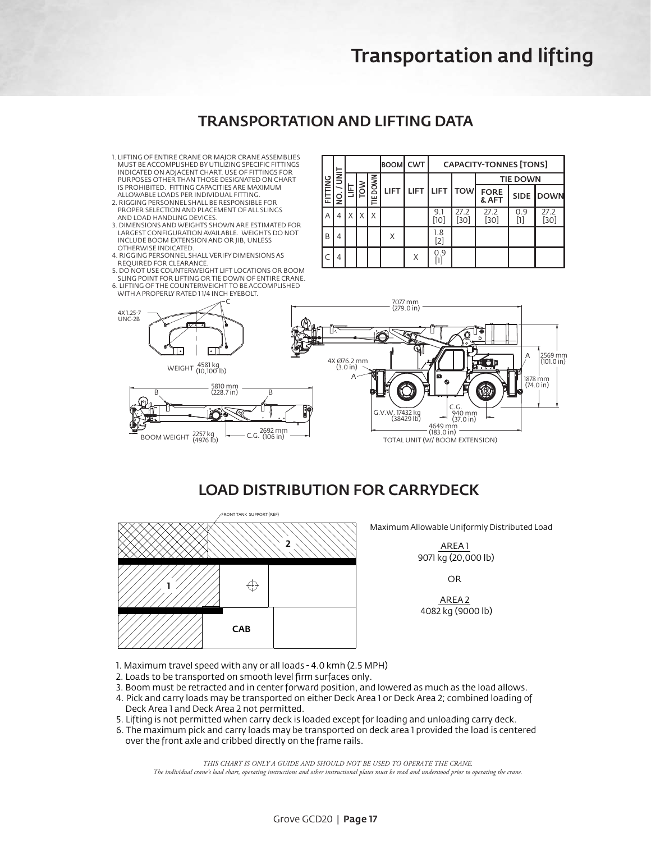# Transportation and lifting

### TRANSPORTATION AND LIFTING DATA **TRANSPORTATION AND LIFTING DATA - GCD20**

- 1. LIFTING OF ENTIRE CRANE OR MAJOR CRANE ASSEMBLIES MUST BE ACCOMPLISHED BY UTILIZING SPECIFIC FITTINGS INDICATED ON ADJACENT CHART. USE OF FITTINGS FOR PURPOSES OTHER THAN THOSE DESIGNATED ON CHART IS PROHIBITED. FITTING CAPACITIES ARE MAXIMUM ALLOWABLE LOADS PER INDIVIDUAL FITTING.
- 2. RIGGING PERSONNEL SHALL BE RESPONSIBLE FOR PROPER SELECTION AND PLACEMENT OF ALL SLINGS AND LOAD HANDLING DEVICES.
- 3. DIMENSIONS AND WEIGHTS SHOWN ARE ESTIMATED FOR LARGEST CONFIGURATION AVAILABLE. WEIGHTS DO NOT INCLUDE BOOM EXTENSION AND OR JIB, UNLESS OTHERWISE INDICATED.
- 4. RIGGING PERSONNEL SHALL VERIFY DIMENSIONS AS REQUIRED FOR CLEARANCE.
- 5. DO NOT USE COUNTERWEIGHT LIFT LOCATIONS OR BOOM SLING POINT FOR LIFTING OR TIE DOWN OF ENTIRE CRANE.
- 6. LIFTING OF THE COUNTERWEIGHT TO BE ACCOMPLISHED WITH A PROPERLY RATED 1 1/4 INCH EYEBOLT.

| <b>MIL</b><br>늕 | in<br>I<br>Q. |   |   | BOOM CWT         |             | <b>CAPACITY-TONNES [TONS]</b> |               |                         |                      |          |              |
|-----------------|---------------|---|---|------------------|-------------|-------------------------------|---------------|-------------------------|----------------------|----------|--------------|
|                 |               | 툨 | š | <b>DOWN</b><br>Ë | <b>LIFT</b> |                               | LIFT LIFT TOW |                         | <b>TIE DOWN</b>      |          |              |
|                 |               |   |   |                  |             |                               |               |                         | <b>FORE</b><br>& AFT |          | SIDE DOWN    |
| A               | 4             | X |   | X                |             |                               | 9.1<br>[10]   | 27.2<br>30 <sup>1</sup> | 27.2<br>[30]         | 0.9<br>Π | 27.2<br>[30] |
| B               | 4             |   |   |                  | X           |                               | 1.8<br>[2]    |                         |                      |          |              |
|                 | 4             |   |   |                  |             | X                             | 0.9<br>n      |                         |                      |          |              |



## LOAD DISTRIBUTION FOR CARRYDECK



Maximum Allowable Uniformly Distributed Load

AREA 1 9071 kg (20,000 lb)

OR

AREA 2 4082 kg (9000 lb)

- 1. Maximum travel speed with any or all loads 4.0 kmh (2.5 MPH)
- 2. Loads to be transported on smooth level firm surfaces only.
- 3. Boom must be retracted and in center forward position, and lowered as much as the load allows.
- 4. Pick and carry loads may be transported on either Deck Area 1 or Deck Area 2; combined loading of Deck Area 1 and Deck Area 2 not permitted.
- 5. Lifting is not permitted when carry deck is loaded except for loading and unloading carry deck.
- 6. The maximum pick and carry loads may be transported on deck area 1 provided the load is centered over the front axle and cribbed directly on the frame rails.

*THIS CHART IS ONLY A GUIDE AND SHOULD NOT BE USED TO OPERATE THE CRANE. The individual crane's load chart, operating instructions and other instructional plates must be read and understood prior to operating the crane.*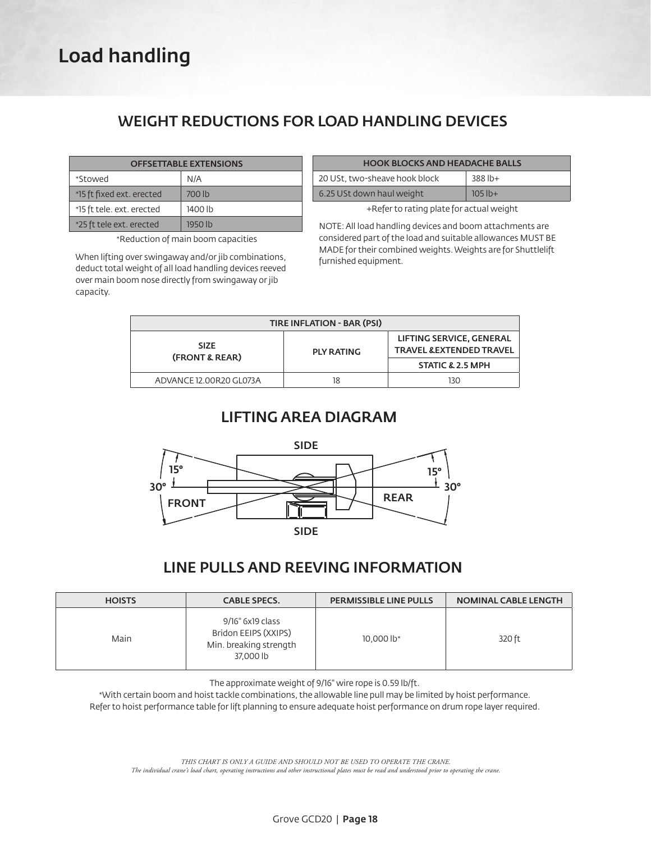# Load handling

# WEIGHT REDUCTIONS FOR LOAD HANDLING DEVICES

| <b>OFFSETTABLE EXTENSIONS</b> |         |  |  |  |
|-------------------------------|---------|--|--|--|
| *Stowed                       | N/A     |  |  |  |
| *15 ft fixed ext. erected     | 700 lb  |  |  |  |
| *15 ft tele. ext. erected     | 1400 lb |  |  |  |
| *25 ft tele ext. erected      | 1950 lb |  |  |  |

\*Reduction of main boom capacities

When lifting over swingaway and/or jib combinations, deduct total weight of all load handling devices reeved over main boom nose directly from swingaway or jib capacity.

| <b>HOOK BLOCKS AND HEADACHE BALLS</b> |           |  |  |  |
|---------------------------------------|-----------|--|--|--|
| 20 USt, two-sheave hook block         | $388$ lb+ |  |  |  |
| 6.25 USt down haul weight             | $105$ lb+ |  |  |  |

+Refer to rating plate for actual weight

NOTE: All load handling devices and boom attachments are considered part of the load and suitable allowances MUST BE MADE for their combined weights. Weights are for Shuttlelift furnished equipment.

| <b>TIRE INFLATION - BAR (PSI)</b> |                   |                                                                 |  |  |  |
|-----------------------------------|-------------------|-----------------------------------------------------------------|--|--|--|
| <b>SIZE</b><br>(FRONT & REAR)     | <b>PLY RATING</b> | LIFTING SERVICE, GENERAL<br><b>TRAVEL &amp; EXTENDED TRAVEL</b> |  |  |  |
|                                   |                   | <b>STATIC &amp; 2.5 MPH</b>                                     |  |  |  |
| ADVANCE 12.00R20 GL073A           | 18                | 130                                                             |  |  |  |

## LIFTING AREA DIAGRAM



# LINE PULLS AND REEVING INFORMATION

| <b>HOISTS</b> | <b>CABLE SPECS.</b>                                                             | <b>PERMISSIBLE LINE PULLS</b> | <b>NOMINAL CABLE LENGTH</b> |
|---------------|---------------------------------------------------------------------------------|-------------------------------|-----------------------------|
| Main          | 9/16" 6x19 class<br>Bridon EEIPS (XXIPS)<br>Min. breaking strength<br>37,000 lb | 10,000 lb*                    | 320 ft                      |

The approximate weight of 9/16" wire rope is 0.59 lb/ft.

\*With certain boom and hoist tackle combinations, the allowable line pull may be limited by hoist performance.

Refer to hoist performance table for lift planning to ensure adequate hoist performance on drum rope layer required.

*THIS CHART IS ONLY A GUIDE AND SHOULD NOT BE USED TO OPERATE THE CRANE. The individual crane's load chart, operating instructions and other instructional plates must be read and understood prior to operating the crane.*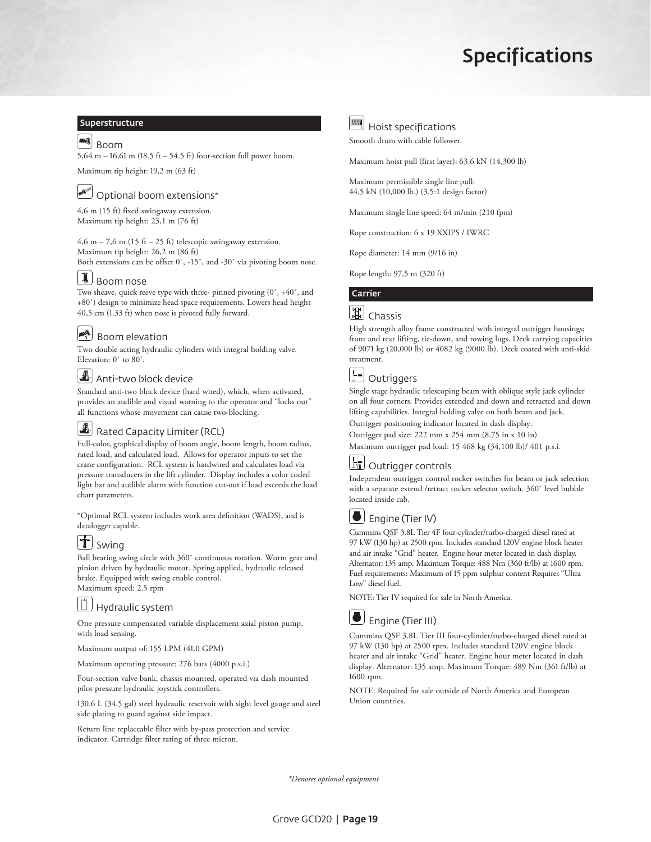# Specifications

#### **Superstructure**

### $\mathbb{R}$  Boom

5,64 m – 16,61 m (18.5 ft – 54.5 ft) four-section full power boom.

Maximum tip height: 19,2 m (63 ft)

# Optional boom extensions\*

4,6 m (15 ft) fixed swingaway extension. Maximum tip height: 23,1 m (76 ft)

4,6 m – 7,6 m (15 ft – 25 ft) telescopic swingaway extension. Maximum tip height: 26,2 m (86 ft) Both extensions can be offset 0˚, -15˚, and -30˚ via pivoting boom nose.

### $\left[\mathbf{I}\right]$  Boom nose

Two sheave, quick reeve type with three- pinned pivoting (0˚, +40˚, and +80˚) design to minimize head space requirements. Lowers head height 40,5 cm (1.33 ft) when nose is pivoted fully forward.

### Boom elevation

Two double acting hydraulic cylinders with integral holding valve. Elevation: 0˚ to 80˚.

### $\Box$  Anti-two block device

Standard anti-two block device (hard wired), which, when activated, provides an audible and visual warning to the operator and "locks out" all functions whose movement can cause two-blocking.

### $\Box$  Rated Capacity Limiter (RCL)

Full-color, graphical display of boom angle, boom length, boom radius, rated load, and calculated load. Allows for operator inputs to set the crane configuration. RCL system is hardwired and calculates load via pressure transducers in the lift cylinder. Display includes a color coded light bar and audible alarm with function cut-out if load exceeds the load chart parameters.

\*Optional RCL system includes work area definition (WADS), and is datalogger capable.

## $\mathbf{T}$  Swing

Ball bearing swing circle with 360˚ continuous rotation. Worm gear and pinion driven by hydraulic motor. Spring applied, hydraulic released brake. Equipped with swing enable control. Maximum speed: 2.5 rpm

Hydraulic system

One pressure compensated variable displacement axial piston pump, with load sensing.

Maximum output of: 155 LPM (41.0 GPM)

Maximum operating pressure: 276 bars (4000 p.s.i.)

Four-section valve bank, chassis mounted, operated via dash mounted pilot pressure hydraulic joystick controllers.

130.6 L (34.5 gal) steel hydraulic reservoir with sight level gauge and steel side plating to guard against side impact.

Return line replaceable filter with by-pass protection and service indicator. Cartridge filter rating of three micron.



**MMM** Hoist specifications

Smooth drum with cable follower.

Maximum hoist pull (first layer): 63,6 kN (14,300 lb)

Maximum permissible single line pull: 44,5 kN (10,000 lb.) (3.5:1 design factor)

Maximum single line speed: 64 m/min (210 fpm)

Rope construction: 6 x 19 XXIPS / IWRC

Rope diameter: 14 mm (9/16 in)

Rope length: 97,5 m (320 ft)

### Carrier

# **E** Chassis

High strength alloy frame constructed with integral outrigger housings; front and rear lifting, tie-down, and towing lugs. Deck carrying capacities of 9071 kg (20,000 lb) or 4082 kg (9000 lb). Deck coated with anti-skid treatment.

# **h**d outriggers

Single stage hydraulic telescoping beam with oblique style jack cylinder on all four corners. Provides extended and down and retracted and down lifting capabilities. Integral holding valve on both beam and jack. Outrigger positioning indicator located in dash display.

Outrigger pad size: 222 mm x 254 mm (8.75 in x 10 in)

Maximum outrigger pad load: 15 468 kg (34,100 lb)/ 401 p.s.i.

# **bu** Outrigger controls

Independent outrigger control rocker switches for beam or jack selection with a separate extend /retract rocker selector switch. 360˚ level bubble located inside cab.



### **D** Engine (Tier IV)

Cummins QSF 3.8L Tier 4F four-cylinder/turbo-charged diesel rated at 97 kW (130 hp) at 2500 rpm. Includes standard 120V engine block heater and air intake "Grid" heater. Engine hour meter located in dash display. Alternator: 135 amp. Maximum Torque: 488 Nm (360 ft/lb) at 1600 rpm. Fuel requirements: Maximum of 15 ppm sulphur content Requires "Ultra Low" diesel fuel.

NOTE: Tier IV required for sale in North America.



Cummins QSF 3.8L Tier III four-cylinder/turbo-charged diesel rated at 97 kW (130 hp) at 2500 rpm. Includes standard 120V engine block heater and air intake "Grid" heater. Engine hour meter located in dash display. Alternator: 135 amp. Maximum Torque: 489 Nm (361 ft/lb) at 1600 rpm.

NOTE: Required for sale outside of North America and European Union countries.

*\*Denotes optional equipment*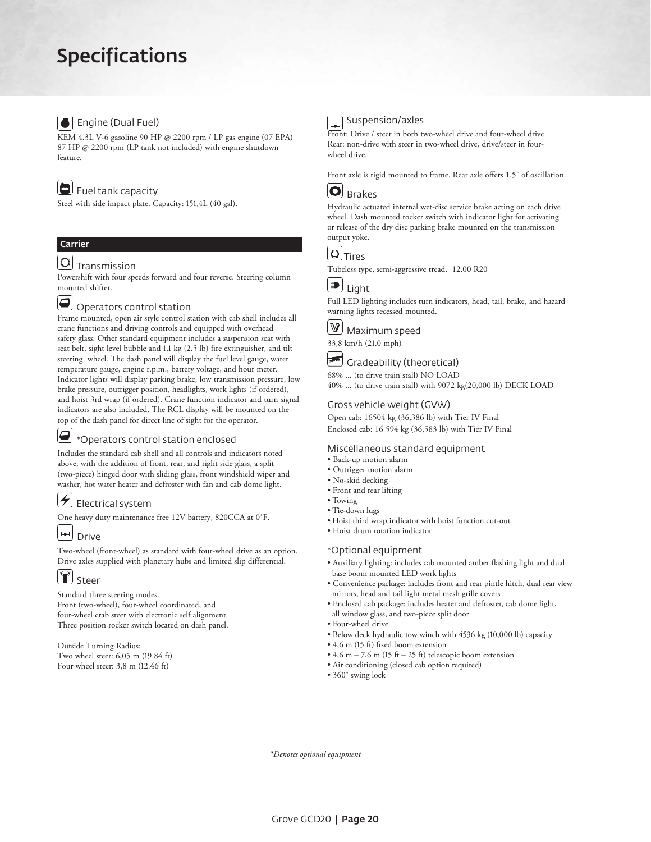# Specifications

### **B** Engine (Dual Fuel)

KEM 4.3L V-6 gasoline 90 HP @ 2200 rpm / LP gas engine (07 EPA) 87 HP @ 2200 rpm (LP tank not included) with engine shutdown feature.

### Fuel tank capacity

Steel with side impact plate. Capacity: 151,4L (40 gal).

### Carrier

## $\mathbb{O}$  Transmission

Powershift with four speeds forward and four reverse. Steering column mounted shifter.

# $\textcolor{blue}{\textcircled{\textbf{1}}}$  Operators control station

Frame mounted, open air style control station with cab shell includes all crane functions and driving controls and equipped with overhead safety glass. Other standard equipment includes a suspension seat with seat belt, sight level bubble and 1,1 kg (2.5 lb) fire extinguisher, and tilt steering wheel. The dash panel will display the fuel level gauge, water temperature gauge, engine r.p.m., battery voltage, and hour meter. Indicator lights will display parking brake, low transmission pressure, low brake pressure, outrigger position, headlights, work lights (if ordered), and hoist 3rd wrap (if ordered). Crane function indicator and turn signal indicators are also included. The RCL display will be mounted on the top of the dash panel for direct line of sight for the operator.

#### $\bullet$ \*Operators control station enclosed

Includes the standard cab shell and all controls and indicators noted above, with the addition of front, rear, and right side glass, a split (two-piece) hinged door with sliding glass, front windshield wiper and washer, hot water heater and defroster with fan and cab dome light.

#### $\left| \right\rangle$  Electrical system

One heavy duty maintenance free 12V battery, 820CCA at 0˚F.

# **H**J Drive

Two-wheel (front-wheel) as standard with four-wheel drive as an option. Drive axles supplied with planetary hubs and limited slip differential.

# $\mathbf{T}$  steer

Standard three steering modes. Front (two-wheel), four-wheel coordinated, and four-wheel crab steer with electronic self alignment. Three position rocker switch located on dash panel.

Outside Turning Radius: Two wheel steer: 6,05 m (19.84 ft) Four wheel steer: 3,8 m (12.46 ft)

#### Suspension/axles ÷

Front: Drive / steer in both two-wheel drive and four-wheel drive Rear: non-drive with steer in two-wheel drive, drive/steer in fourwheel drive.

Front axle is rigid mounted to frame. Rear axle offers 1.5˚ of oscillation.

### $|O|$  Brakes

Hydraulic actuated internal wet-disc service brake acting on each drive wheel. Dash mounted rocker switch with indicator light for activating or release of the dry disc parking brake mounted on the transmission output yoke.



Tubeless type, semi-aggressive tread. 12.00 R20



Full LED lighting includes turn indicators, head, tail, brake, and hazard warning lights recessed mounted.



33,8 km/h (21.0 mph)



68% ... (to drive train stall) NO LOAD

40% ... (to drive train stall) with 9072 kg(20,000 lb) DECK LOAD

#### Gross vehicle weight (GVW)

Open cab: 16504 kg (36,386 lb) with Tier IV Final Enclosed cab: 16 594 kg (36,583 lb) with Tier IV Final

#### Miscellaneous standard equipment

- Back-up motion alarm
- Outrigger motion alarm
- No-skid decking
- Front and rear lifting • Towing
- Tie-down lugs
- Hoist third wrap indicator with hoist function cut-out
- Hoist drum rotation indicator

#### \*Optional equipment

- Auxiliary lighting: includes cab mounted amber flashing light and dual base boom mounted LED work lights
- Convenience package: includes front and rear pintle hitch, dual rear view mirrors, head and tail light metal mesh grille covers
- Enclosed cab package: includes heater and defroster, cab dome light, all window glass, and two-piece split door
- Four-wheel drive
- Below deck hydraulic tow winch with 4536 kg (10,000 lb) capacity
- 4,6 m (15 ft) fixed boom extension
- 4,6 m 7,6 m (15 ft 25 ft) telescopic boom extension
- Air conditioning (closed cab option required)
- 360˚ swing lock

*\*Denotes optional equipment*